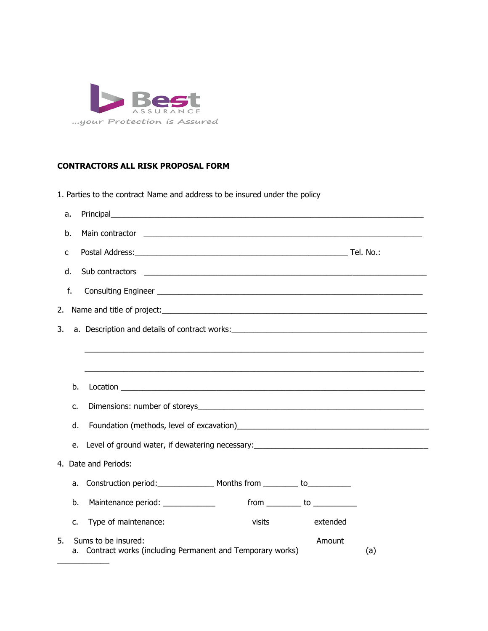

## **CONTRACTORS ALL RISK PROPOSAL FORM**

1. Parties to the contract Name and address to be insured under the policy

| a. |    |                                                                                                                                                                                                                               |
|----|----|-------------------------------------------------------------------------------------------------------------------------------------------------------------------------------------------------------------------------------|
| b. |    |                                                                                                                                                                                                                               |
| c  |    |                                                                                                                                                                                                                               |
| d. |    | Sub contractors experience and the set of the set of the set of the set of the set of the set of the set of the set of the set of the set of the set of the set of the set of the set of the set of the set of the set of the |
| f. |    |                                                                                                                                                                                                                               |
| 2. |    |                                                                                                                                                                                                                               |
| 3. |    |                                                                                                                                                                                                                               |
|    |    |                                                                                                                                                                                                                               |
|    |    |                                                                                                                                                                                                                               |
|    | b. |                                                                                                                                                                                                                               |
|    | c. |                                                                                                                                                                                                                               |
|    | d. |                                                                                                                                                                                                                               |
|    | e. | Level of ground water, if dewatering necessary: _________________________________                                                                                                                                             |
|    |    | 4. Date and Periods:                                                                                                                                                                                                          |
|    | a. | Construction period: Months from _______ to___________                                                                                                                                                                        |
|    | b. | Maintenance period: _____________                                                                                                                                                                                             |
|    | c. | Type of maintenance:<br>visits<br>extended                                                                                                                                                                                    |
| 5. |    | Sums to be insured:<br>Amount<br>a. Contract works (including Permanent and Temporary works)<br>(a)                                                                                                                           |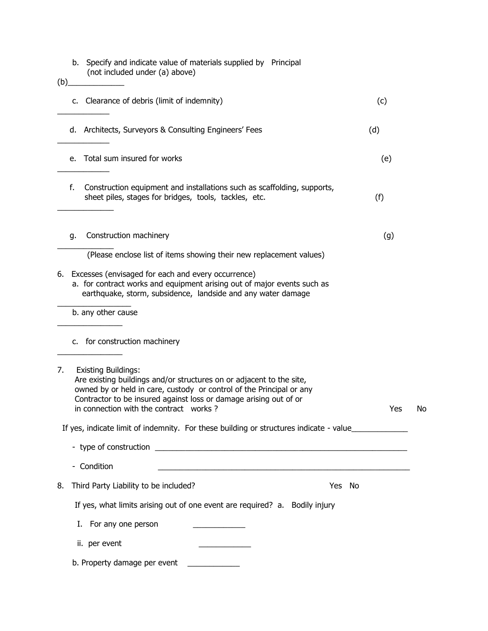| (b) |    | b. Specify and indicate value of materials supplied by Principal<br>(not included under (a) above)                                                                                                                                                                                        |     |    |
|-----|----|-------------------------------------------------------------------------------------------------------------------------------------------------------------------------------------------------------------------------------------------------------------------------------------------|-----|----|
|     |    | c. Clearance of debris (limit of indemnity)                                                                                                                                                                                                                                               | (c) |    |
|     |    | d. Architects, Surveyors & Consulting Engineers' Fees                                                                                                                                                                                                                                     | (d) |    |
|     |    | e. Total sum insured for works                                                                                                                                                                                                                                                            | (e) |    |
|     | f. | Construction equipment and installations such as scaffolding, supports,<br>sheet piles, stages for bridges, tools, tackles, etc.                                                                                                                                                          | (f) |    |
|     | g. | Construction machinery                                                                                                                                                                                                                                                                    | (g) |    |
|     |    | (Please enclose list of items showing their new replacement values)                                                                                                                                                                                                                       |     |    |
|     |    | 6. Excesses (envisaged for each and every occurrence)<br>a. for contract works and equipment arising out of major events such as<br>earthquake, storm, subsidence, landside and any water damage                                                                                          |     |    |
|     |    | b. any other cause                                                                                                                                                                                                                                                                        |     |    |
|     |    | c. for construction machinery                                                                                                                                                                                                                                                             |     |    |
| 7.  |    | <b>Existing Buildings:</b><br>Are existing buildings and/or structures on or adjacent to the site,<br>owned by or held in care, custody or control of the Principal or any<br>Contractor to be insured against loss or damage arising out of or<br>in connection with the contract works? | Yes | No |
|     |    | If yes, indicate limit of indemnity. For these building or structures indicate - value                                                                                                                                                                                                    |     |    |
|     |    |                                                                                                                                                                                                                                                                                           |     |    |
|     |    | - Condition<br><u> 1989 - Johann Barbara, martin amerikan personal (</u>                                                                                                                                                                                                                  |     |    |
| 8.  |    | Third Party Liability to be included?<br>Yes<br>No                                                                                                                                                                                                                                        |     |    |
|     |    | If yes, what limits arising out of one event are required? a. Bodily injury                                                                                                                                                                                                               |     |    |
|     | Ι. | For any one person                                                                                                                                                                                                                                                                        |     |    |
|     |    | ii. per event                                                                                                                                                                                                                                                                             |     |    |
|     |    | b. Property damage per event                                                                                                                                                                                                                                                              |     |    |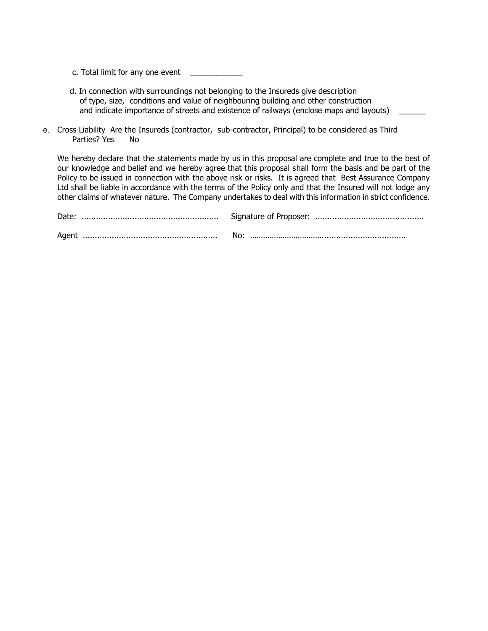c. Total limit for any one event

- d. In connection with surroundings not belonging to the Insureds give description of type, size, conditions and value of neighbouring building and other construction and indicate importance of streets and existence of railways (enclose maps and layouts)
- e. Cross Liability Are the Insureds (contractor, sub-contractor, Principal) to be considered as Third Parties? Yes No

We hereby declare that the statements made by us in this proposal are complete and true to the best of our knowledge and belief and we hereby agree that this proposal shall form the basis and be part of the Policy to be issued in connection with the above risk or risks. It is agreed that Best Assurance Company Ltd shall be liable in accordance with the terms of the Policy only and that the Insured will not lodge any other claims of whatever nature. The Company undertakes to deal with this information in strict confidence.

|  | No: |  |
|--|-----|--|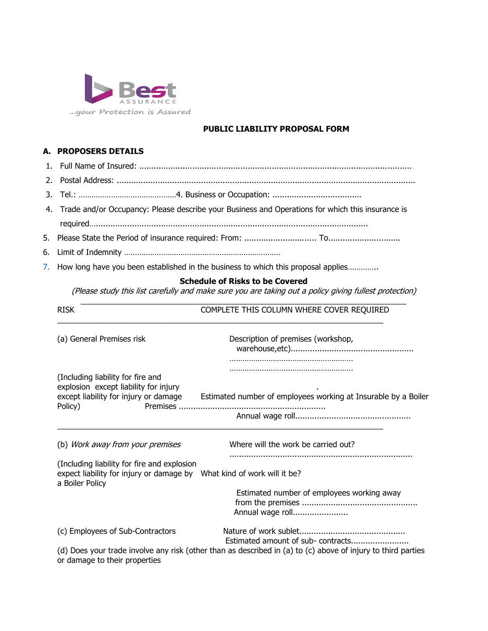

## **PUBLIC LIABILITY PROPOSAL FORM**

#### **A. PROPOSERS DETAILS**

- 1. Full Name of Insured: .................................................................................................................
- 2. Postal Address: ............................................................................................................................
- 3. Tel.: ………………………………………4. Business or Occupation: .....................................
- 4. Trade and/or Occupancy: Please describe your Business and Operations for which this insurance is required….................................................................................................................
- 5. Please State the Period of insurance required: From: .............................. To..............................
- 6. Limit of Indemnity ………………………………………………………………
- 7. How long have you been established in the business to which this proposal applies..............

#### **Schedule of Risks to be Covered**

(Please study this list carefully and make sure you are taking out a policy giving fullest protection)

| <b>RISK</b>                                                                                                                                | COMPLETE THIS COLUMN WHERE COVER REQUIRED                                                                                                          |
|--------------------------------------------------------------------------------------------------------------------------------------------|----------------------------------------------------------------------------------------------------------------------------------------------------|
| (a) General Premises risk                                                                                                                  | Description of premises (workshop,                                                                                                                 |
| (Including liability for fire and<br>explosion except liability for injury<br>except liability for injury or damage<br>Premises<br>Policy) | Estimated number of employees working at Insurable by a Boiler                                                                                     |
| (b) Work away from your premises                                                                                                           | Where will the work be carried out?                                                                                                                |
| (Including liability for fire and explosion<br>expect liability for injury or damage by What kind of work will it be?<br>a Boiler Policy   |                                                                                                                                                    |
|                                                                                                                                            | Estimated number of employees working away<br>Annual wage roll                                                                                     |
| (c) Employees of Sub-Contractors<br>or damage to their properties                                                                          | Estimated amount of sub- contracts<br>(d) Does your trade involve any risk (other than as described in (a) to (c) above of injury to third parties |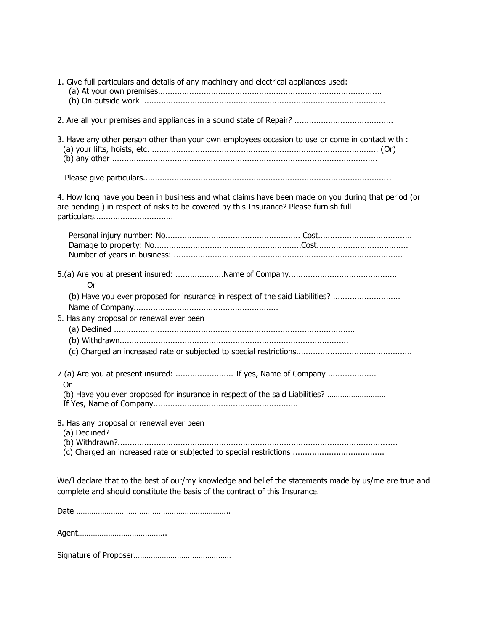| 1. Give full particulars and details of any machinery and electrical appliances used:                                                                                                                       |
|-------------------------------------------------------------------------------------------------------------------------------------------------------------------------------------------------------------|
|                                                                                                                                                                                                             |
| 3. Have any other person other than your own employees occasion to use or come in contact with :                                                                                                            |
|                                                                                                                                                                                                             |
| 4. How long have you been in business and what claims have been made on you during that period (or<br>are pending ) in respect of risks to be covered by this Insurance? Please furnish full<br>particulars |
|                                                                                                                                                                                                             |
| Or                                                                                                                                                                                                          |
| (b) Have you ever proposed for insurance in respect of the said Liabilities?<br>6. Has any proposal or renewal ever been                                                                                    |
|                                                                                                                                                                                                             |
| 7 (a) Are you at present insured:  If yes, Name of Company<br>Or<br>(b) Have you ever proposed for insurance in respect of the said Liabilities?                                                            |
|                                                                                                                                                                                                             |
| 8. Has any proposal or renewal ever been<br>(a) Declined?                                                                                                                                                   |
| We/I declare that to the best of our/my knowledge and belief the statements made by us/me are true and<br>complete and should constitute the basis of the contract of this Insurance.                       |
|                                                                                                                                                                                                             |
|                                                                                                                                                                                                             |
|                                                                                                                                                                                                             |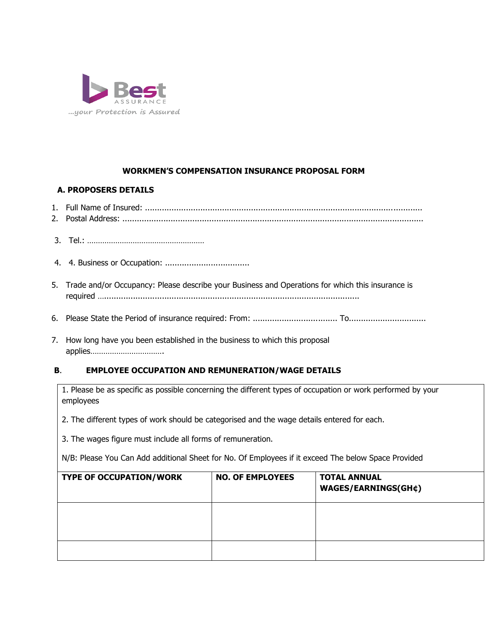

# **WORKMEN'S COMPENSATION INSURANCE PROPOSAL FORM**

## **A. PROPOSERS DETAILS**

- 1. Full Name of Insured: ...................................................................................................................
- 2. Postal Address: .............................................................................................................................
- 3. Tel.: ………………………………………………
- 4. 4. Business or Occupation: ...................................
- 5. Trade and/or Occupancy: Please describe your Business and Operations for which this insurance is required …..........................................................................................................
- 6. Please State the Period of insurance required: From: ................................... To................................
- 7. How long have you been established in the business to which this proposal applies…………………………….

## **B**. **EMPLOYEE OCCUPATION AND REMUNERATION/WAGE DETAILS**

1. Please be as specific as possible concerning the different types of occupation or work performed by your employees

2. The different types of work should be categorised and the wage details entered for each.

3. The wages figure must include all forms of remuneration.

N/B: Please You Can Add additional Sheet for No. Of Employees if it exceed The below Space Provided

| <b>TYPE OF OCCUPATION/WORK</b> | <b>NO. OF EMPLOYEES</b> | <b>TOTAL ANNUAL</b><br><b>WAGES/EARNINGS(GH¢)</b> |
|--------------------------------|-------------------------|---------------------------------------------------|
|                                |                         |                                                   |
|                                |                         |                                                   |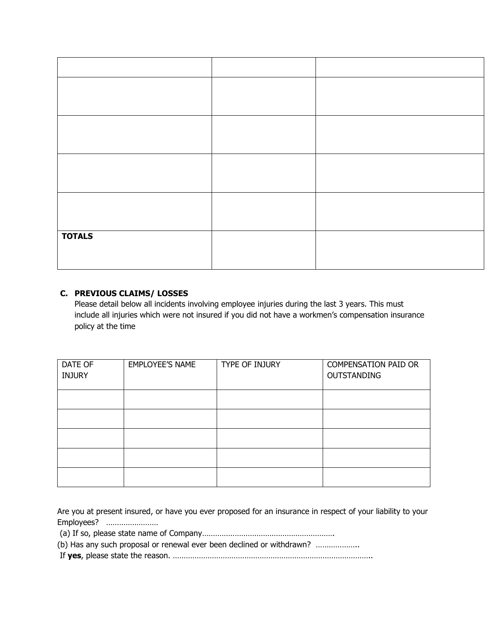| <b>TOTALS</b> |  |
|---------------|--|
|               |  |

## **C. PREVIOUS CLAIMS/ LOSSES**

Please detail below all incidents involving employee injuries during the last 3 years. This must include all injuries which were not insured if you did not have a workmen's compensation insurance policy at the time

| DATE OF<br><b>INJURY</b> | <b>EMPLOYEE'S NAME</b> | TYPE OF INJURY | <b>COMPENSATION PAID OR</b><br><b>OUTSTANDING</b> |
|--------------------------|------------------------|----------------|---------------------------------------------------|
|                          |                        |                |                                                   |
|                          |                        |                |                                                   |
|                          |                        |                |                                                   |
|                          |                        |                |                                                   |
|                          |                        |                |                                                   |

Are you at present insured, or have you ever proposed for an insurance in respect of your liability to your Employees? ……………………

(a) If so, please state name of Company…………………………………………………….

(b) Has any such proposal or renewal ever been declined or withdrawn? ………………..

If **yes**, please state the reason. ………………………………………………………………………………..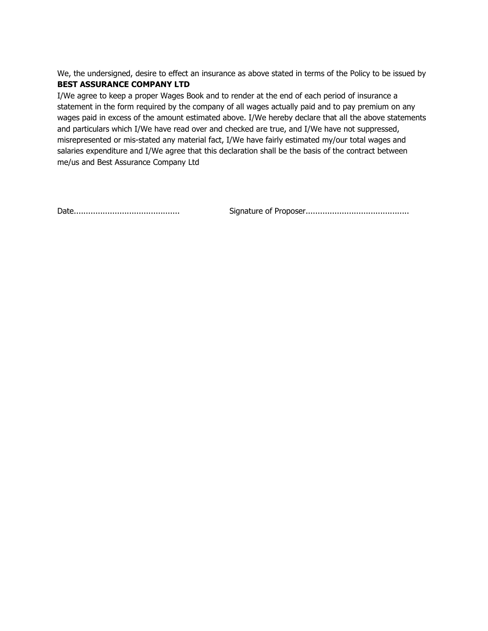We, the undersigned, desire to effect an insurance as above stated in terms of the Policy to be issued by **BEST ASSURANCE COMPANY LTD**

I/We agree to keep a proper Wages Book and to render at the end of each period of insurance a statement in the form required by the company of all wages actually paid and to pay premium on any wages paid in excess of the amount estimated above. I/We hereby declare that all the above statements and particulars which I/We have read over and checked are true, and I/We have not suppressed, misrepresented or mis-stated any material fact, I/We have fairly estimated my/our total wages and salaries expenditure and I/We agree that this declaration shall be the basis of the contract between me/us and Best Assurance Company Ltd

Date............................................ Signature of Proposer...........................................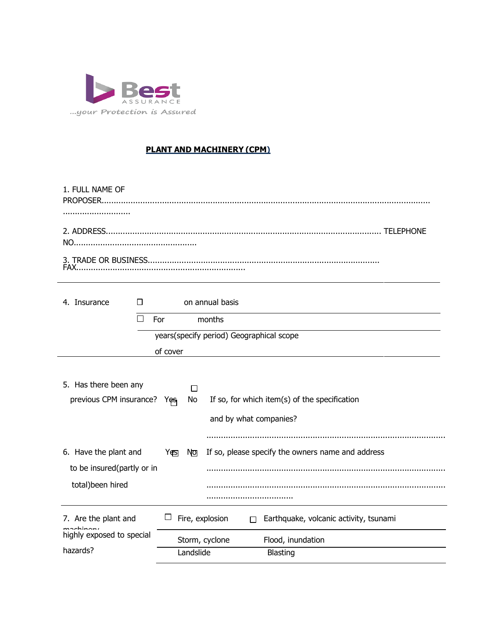

# **PLANT AND MACHINERY (CPM)**

| 1. FULL NAME OF |  |
|-----------------|--|
|                 |  |
|                 |  |
|                 |  |

| on annual basis<br>4. Insurance<br>П                                       |                                                                         |               |           |                                                                                                                   |  |  |  |  |
|----------------------------------------------------------------------------|-------------------------------------------------------------------------|---------------|-----------|-------------------------------------------------------------------------------------------------------------------|--|--|--|--|
|                                                                            | П                                                                       | For<br>months |           |                                                                                                                   |  |  |  |  |
|                                                                            | years(specify period) Geographical scope                                |               |           |                                                                                                                   |  |  |  |  |
|                                                                            |                                                                         | of cover      |           |                                                                                                                   |  |  |  |  |
| 5. Has there been any<br>previous CPM insurance?                           | If so, for which item(s) of the specification<br>and by what companies? |               |           |                                                                                                                   |  |  |  |  |
| 6. Have the plant and<br>to be insured(partly or in<br>total) been hired   |                                                                         | Yes           | No        | If so, please specify the owners name and address                                                                 |  |  |  |  |
| 7. Are the plant and<br>machinon,<br>highly exposed to special<br>hazards? |                                                                         |               | Landslide | Fire, explosion<br>Earthquake, volcanic activity, tsunami<br>П<br>Storm, cyclone<br>Flood, inundation<br>Blasting |  |  |  |  |